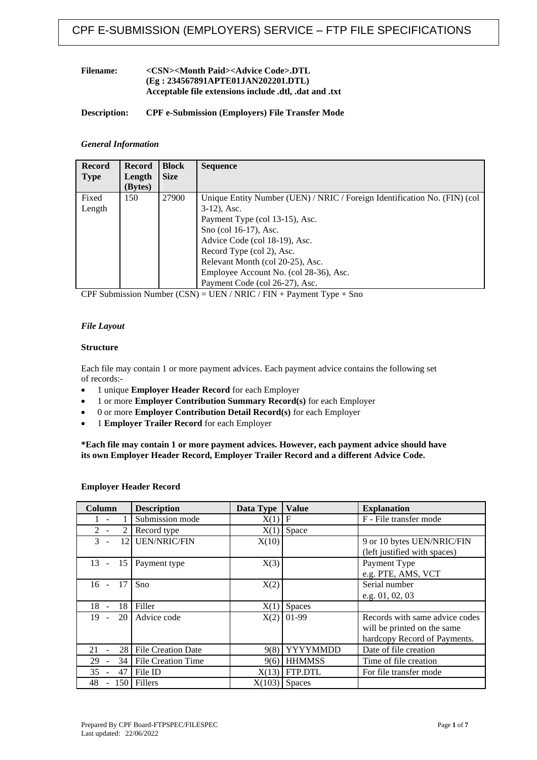### **Filename: <CSN><Month Paid><Advice Code>.DTL (Eg : 234567891APTE01JAN202201.DTL) Acceptable file extensions include .dtl, .dat and .txt**

### **Description: CPF e-Submission (Employers) File Transfer Mode**

#### *General Information*

| <b>Record</b> | <b>Record</b> | <b>Block</b> | <b>Sequence</b>                                                           |
|---------------|---------------|--------------|---------------------------------------------------------------------------|
| <b>Type</b>   | Length        | <b>Size</b>  |                                                                           |
|               | (Bytes)       |              |                                                                           |
| Fixed         | 150           | 27900        | Unique Entity Number (UEN) / NRIC / Foreign Identification No. (FIN) (col |
| Length        |               |              | $3-12$ , Asc.                                                             |
|               |               |              | Payment Type (col 13-15), Asc.                                            |
|               |               |              | Sno (col 16-17), Asc.                                                     |
|               |               |              | Advice Code (col 18-19), Asc.                                             |
|               |               |              | Record Type (col 2), Asc.                                                 |
|               |               |              | Relevant Month (col 20-25), Asc.                                          |
|               |               |              | Employee Account No. (col 28-36), Asc.                                    |
|               |               |              | Payment Code (col 26-27), Asc.                                            |

CPF Submission Number  $(CSN) = UEN / NRIC / FIN + Payment Type + Sno$ 

### *File Layout*

### **Structure**

Each file may contain 1 or more payment advices. Each payment advice contains the following set of records:-

- 1 unique **Employer Header Record** for each Employer
- 1 or more **Employer Contribution Summary Record(s)** for each Employer
- 0 or more **Employer Contribution Detail Record(s)** for each Employer
- 1 **Employer Trailer Record** for each Employer

**\*Each file may contain 1 or more payment advices. However, each payment advice should have its own Employer Header Record, Employer Trailer Record and a different Advice Code.**

| Column                           | <b>Description</b>        | Data Type | <b>Value</b>    | <b>Explanation</b>             |
|----------------------------------|---------------------------|-----------|-----------------|--------------------------------|
|                                  | Submission mode           | X(1)      | F               | F - File transfer mode         |
| $2^{\circ}$                      | Record type               | X(1)      | Space           |                                |
| $\mathcal{F}$<br>12 <sub>1</sub> | <b>UEN/NRIC/FIN</b>       | X(10)     |                 | 9 or 10 bytes UEN/NRIC/FIN     |
|                                  |                           |           |                 | (left justified with spaces)   |
| 13<br>15<br>$\sim$               | Payment type              | X(3)      |                 | Payment Type                   |
|                                  |                           |           |                 | e.g. PTE, AMS, VCT             |
| - 17<br>$16 -$                   | Sno                       | X(2)      |                 | Serial number                  |
|                                  |                           |           |                 | e.g. 01, 02, 03                |
| 18<br>$18 -$                     | Filler                    | X(1)      | Spaces          |                                |
| 20<br>19                         | Advice code               | X(2)      | 01-99           | Records with same advice codes |
|                                  |                           |           |                 | will be printed on the same    |
|                                  |                           |           |                 | hardcopy Record of Payments.   |
| 21<br>28                         | <b>File Creation Date</b> | 9(8)      | <b>YYYYMMDD</b> | Date of file creation          |
| 29<br>34                         | File Creation Time        | 9(6)      | <b>HHMMSS</b>   | Time of file creation          |
| 35<br>47                         | File ID                   | X(13)     | FTP.DTL         | For file transfer mode         |
| 48<br>150                        | Fillers                   | X(103)    | <b>Spaces</b>   |                                |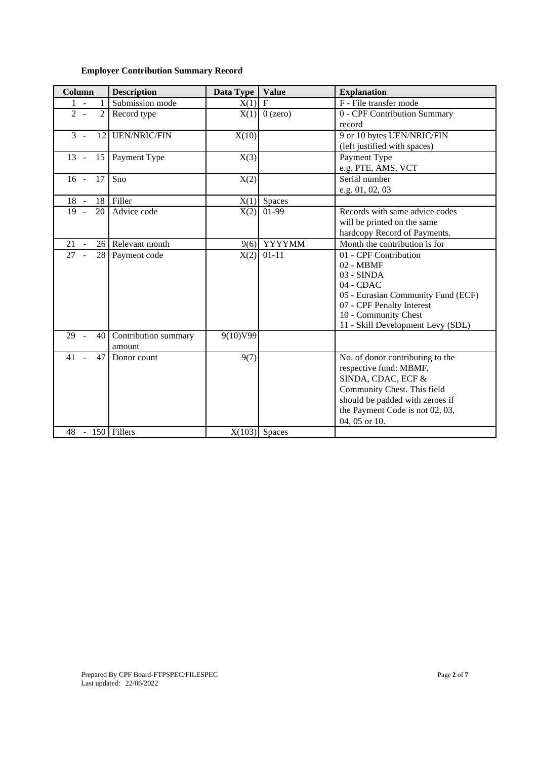### **Employer Contribution Summary Record**

| <b>Description</b><br>Column                    |                                | Data Type | <b>Value</b>    | <b>Explanation</b>                                                                                                                                                                                     |
|-------------------------------------------------|--------------------------------|-----------|-----------------|--------------------------------------------------------------------------------------------------------------------------------------------------------------------------------------------------------|
| $1 -$<br>1                                      | Submission mode                | $X(1)$ F  |                 | F - File transfer mode                                                                                                                                                                                 |
| $2 -$<br>$\overline{2}$                         | Record type                    |           | $X(1)$ 0 (zero) | 0 - CPF Contribution Summary<br>record                                                                                                                                                                 |
| $\mathcal{E}$<br>12<br>$\overline{\phantom{a}}$ | <b>UEN/NRIC/FIN</b>            | X(10)     |                 | 9 or 10 bytes UEN/NRIC/FIN<br>(left justified with spaces)                                                                                                                                             |
| $13 -$<br>15                                    | Payment Type                   | X(3)      |                 | Payment Type<br>e.g. PTE, AMS, VCT                                                                                                                                                                     |
| 17<br>$16 -$                                    | Sno                            | X(2)      |                 | Serial number<br>e.g. 01, 02, 03                                                                                                                                                                       |
| $18 -$<br>18                                    | Filler                         |           | $X(1)$ Spaces   |                                                                                                                                                                                                        |
| 19<br>20<br>$\sim$                              | Advice code                    | X(2)      | 01-99           | Records with same advice codes<br>will be printed on the same<br>hardcopy Record of Payments.                                                                                                          |
| 21<br>26 <sup>1</sup>                           | Relevant month                 | 9(6)      | <b>YYYYMM</b>   | Month the contribution is for                                                                                                                                                                          |
| 27<br>28                                        | Payment code                   | X(2)      | $01 - 11$       | 01 - CPF Contribution<br>02 - MBMF<br>$03 - SIMDA$<br>04 - CDAC<br>05 - Eurasian Community Fund (ECF)<br>07 - CPF Penalty Interest<br>10 - Community Chest<br>11 - Skill Development Levy (SDL)        |
| 29<br>40<br>$\overline{a}$                      | Contribution summary<br>amount | 9(10)V99  |                 |                                                                                                                                                                                                        |
| 41<br>47                                        | Donor count                    | 9(7)      |                 | No. of donor contributing to the<br>respective fund: MBMF,<br>SINDA, CDAC, ECF &<br>Community Chest. This field<br>should be padded with zeroes if<br>the Payment Code is not 02, 03,<br>04, 05 or 10. |
| 48 - 150 Fillers                                |                                |           | $X(103)$ Spaces |                                                                                                                                                                                                        |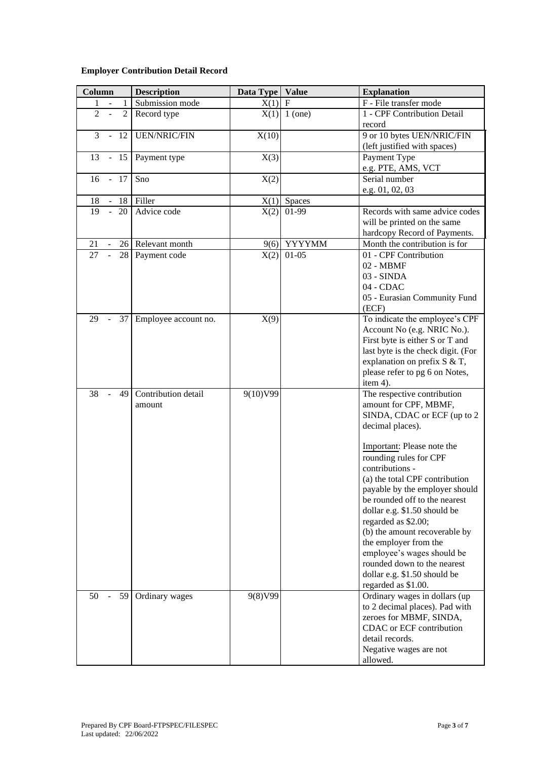### **Employer Contribution Detail Record**

| Column                                             | <b>Description</b>            | Data Type             | Value          | <b>Explanation</b>                                                                                                                                                                                                                                                                                                                                                                                                                                                                                                           |  |  |  |  |
|----------------------------------------------------|-------------------------------|-----------------------|----------------|------------------------------------------------------------------------------------------------------------------------------------------------------------------------------------------------------------------------------------------------------------------------------------------------------------------------------------------------------------------------------------------------------------------------------------------------------------------------------------------------------------------------------|--|--|--|--|
| 1                                                  | Submission mode               | X(1)                  | $\mathbf F$    | F - File transfer mode                                                                                                                                                                                                                                                                                                                                                                                                                                                                                                       |  |  |  |  |
| $\overline{2}$<br>$\overline{2}$<br>$\overline{a}$ | Record type                   |                       | $X(1)$ 1 (one) | 1 - CPF Contribution Detail<br>record                                                                                                                                                                                                                                                                                                                                                                                                                                                                                        |  |  |  |  |
| 3<br>12                                            | <b>UEN/NRIC/FIN</b>           | X(10)                 |                | 9 or 10 bytes UEN/NRIC/FIN<br>(left justified with spaces)                                                                                                                                                                                                                                                                                                                                                                                                                                                                   |  |  |  |  |
| 13<br>15<br>$\equiv$                               | Payment type                  | X(3)                  |                | Payment Type<br>e.g. PTE, AMS, VCT                                                                                                                                                                                                                                                                                                                                                                                                                                                                                           |  |  |  |  |
| 16<br>$-17$                                        | Sno                           | X(2)                  |                | Serial number<br>e.g. 01, 02, 03                                                                                                                                                                                                                                                                                                                                                                                                                                                                                             |  |  |  |  |
| 18<br>18                                           | Filler                        | X(1)                  | Spaces         |                                                                                                                                                                                                                                                                                                                                                                                                                                                                                                                              |  |  |  |  |
| 19<br>$\sim$<br>20                                 | Advice code                   | X(2)                  | 01-99          | Records with same advice codes<br>will be printed on the same<br>hardcopy Record of Payments.                                                                                                                                                                                                                                                                                                                                                                                                                                |  |  |  |  |
| 21                                                 | 26 Relevant month             | <b>YYYYMM</b><br>9(6) |                | Month the contribution is for                                                                                                                                                                                                                                                                                                                                                                                                                                                                                                |  |  |  |  |
| $\overline{a}$<br>27<br>28                         | Payment code                  | X(2)                  | $01 - 05$      | 01 - CPF Contribution<br>02 - MBMF<br>03 - SINDA<br>04 - CDAC<br>05 - Eurasian Community Fund<br>(ECF)                                                                                                                                                                                                                                                                                                                                                                                                                       |  |  |  |  |
| 29<br>37                                           | Employee account no.          | X(9)                  |                | To indicate the employee's CPF<br>Account No (e.g. NRIC No.).<br>First byte is either S or T and<br>last byte is the check digit. (For<br>explanation on prefix S & T,<br>please refer to pg 6 on Notes,<br>item 4).                                                                                                                                                                                                                                                                                                         |  |  |  |  |
| 38<br>49<br>$\bar{\mathcal{L}}$                    | Contribution detail<br>amount | 9(10)V99              |                | The respective contribution<br>amount for CPF, MBMF,<br>SINDA, CDAC or ECF (up to 2<br>decimal places).<br>Important: Please note the<br>rounding rules for CPF<br>contributions -<br>(a) the total CPF contribution<br>payable by the employer should<br>be rounded off to the nearest<br>dollar e.g. \$1.50 should be<br>regarded as \$2.00;<br>(b) the amount recoverable by<br>the employer from the<br>employee's wages should be<br>rounded down to the nearest<br>dollar e.g. \$1.50 should be<br>regarded as \$1.00. |  |  |  |  |
| 50<br>59                                           | Ordinary wages                | 9(8)V99               |                | Ordinary wages in dollars (up<br>to 2 decimal places). Pad with<br>zeroes for MBMF, SINDA,<br>CDAC or ECF contribution<br>detail records.<br>Negative wages are not<br>allowed.                                                                                                                                                                                                                                                                                                                                              |  |  |  |  |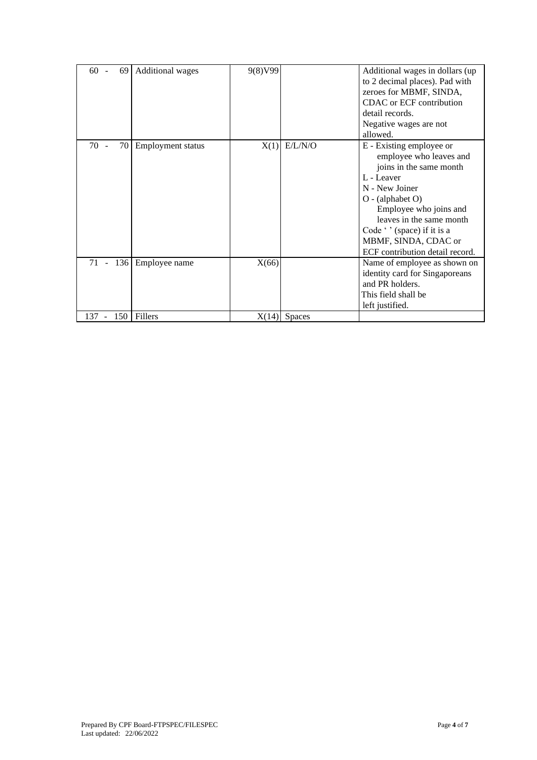| $60 -$<br>69 | <b>Additional</b> wages | 9(8)V99 |                | Additional wages in dollars (up<br>to 2 decimal places). Pad with<br>zeroes for MBMF, SINDA,<br>CDAC or ECF contribution<br>detail records.<br>Negative wages are not<br>allowed.                                                                                                  |
|--------------|-------------------------|---------|----------------|------------------------------------------------------------------------------------------------------------------------------------------------------------------------------------------------------------------------------------------------------------------------------------|
| 70 -<br>70   | Employment status       | X(1)    | E/L/N/O        | E - Existing employee or<br>employee who leaves and<br>joins in the same month<br>L - Leaver<br>N - New Joiner<br>$O - (alphabet O)$<br>Employee who joins and<br>leaves in the same month<br>Code " (space) if it is a<br>MBMF, SINDA, CDAC or<br>ECF contribution detail record. |
| 136<br>71 -  | Employee name           | X(66)   |                | Name of employee as shown on<br>identity card for Singaporeans<br>and PR holders.<br>This field shall be<br>left justified.                                                                                                                                                        |
| 137<br>150   | Fillers                 |         | $X(14)$ Spaces |                                                                                                                                                                                                                                                                                    |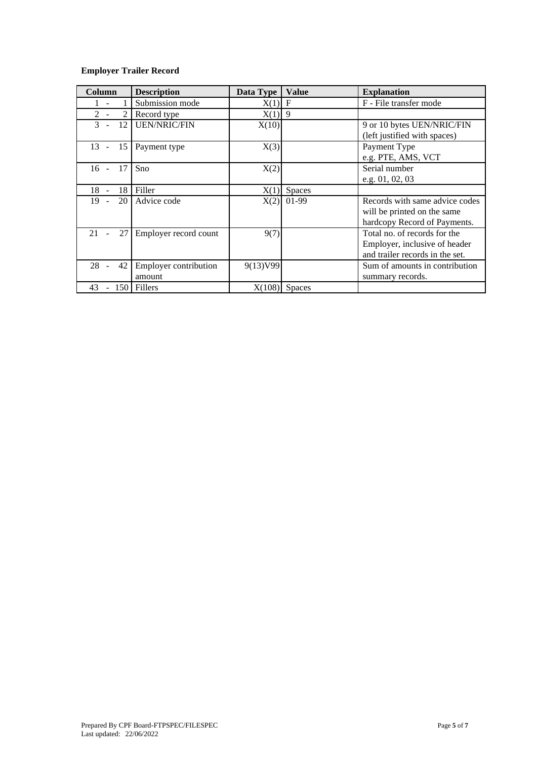# **Employer Trailer Record**

| Column         | <b>Description</b>              | Data Type | <b>Value</b>    | <b>Explanation</b>                                                                               |
|----------------|---------------------------------|-----------|-----------------|--------------------------------------------------------------------------------------------------|
|                | Submission mode                 | X(1)      | $\mathbf F$     | F - File transfer mode                                                                           |
| 2              | Record type                     | $X(1)$ 9  |                 |                                                                                                  |
| 12<br>3        | <b>UEN/NRIC/FIN</b>             | X(10)     |                 | 9 or 10 bytes UEN/NRIC/FIN<br>(left justified with spaces)                                       |
| 15<br>$13 -$   | Payment type                    | X(3)      |                 | Payment Type<br>e.g. PTE, AMS, VCT                                                               |
| 17<br>$16 -$   | Sno                             | X(2)      |                 | Serial number<br>e.g. 01, 02, 03                                                                 |
| $18 -$<br>18   | Filler                          | X(1)      | Spaces          |                                                                                                  |
| 20 l<br>$19 -$ | Advice code                     | X(2)      | 01-99           | Records with same advice codes<br>will be printed on the same<br>hardcopy Record of Payments.    |
| 27<br>21       | Employer record count           | 9(7)      |                 | Total no. of records for the<br>Employer, inclusive of header<br>and trailer records in the set. |
| $28 -$<br>42   | Employer contribution<br>amount | 9(13)V99  |                 | Sum of amounts in contribution<br>summary records.                                               |
| 43<br>150      | Fillers                         |           | $X(108)$ Spaces |                                                                                                  |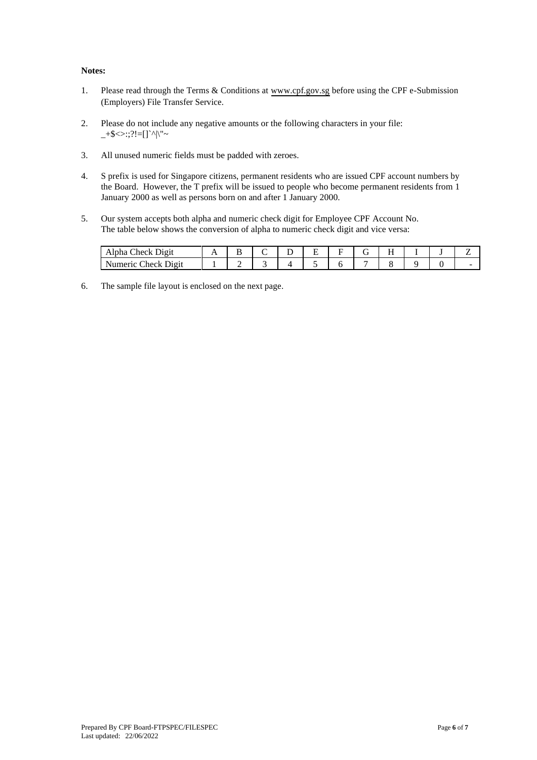### **Notes:**

- 1. Please read through the Terms & Conditions at [www.cpf.gov.sg b](http://www.cpf.gov.sg/)efore using the CPF e-Submission (Employers) File Transfer Service.
- 2. Please do not include any negative amounts or the following characters in your file:  $+\$   $\ge$  ::?!=[]`^|\"~
- 3. All unused numeric fields must be padded with zeroes.
- 4. S prefix is used for Singapore citizens, permanent residents who are issued CPF account numbers by the Board. However, the T prefix will be issued to people who become permanent residents from 1 January 2000 as well as persons born on and after 1 January 2000.
- 5. Our system accepts both alpha and numeric check digit for Employee CPF Account No. The table below shows the conversion of alpha to numeric check digit and vice versa:

| Alpha<br>`heck<br>$v_{1}$<br>້                             | . .<br>- - | - | ∸ | ∽<br>- | ∽ | -<br>. . | $-$<br>. . |  | – |
|------------------------------------------------------------|------------|---|---|--------|---|----------|------------|--|---|
| `heck<br>$\mathbf{h}$ $\alpha$ 11<br>numer<br>11.<br>DIEIU |            | - |   |        |   | -        |            |  | - |

6. The sample file layout is enclosed on the next page.